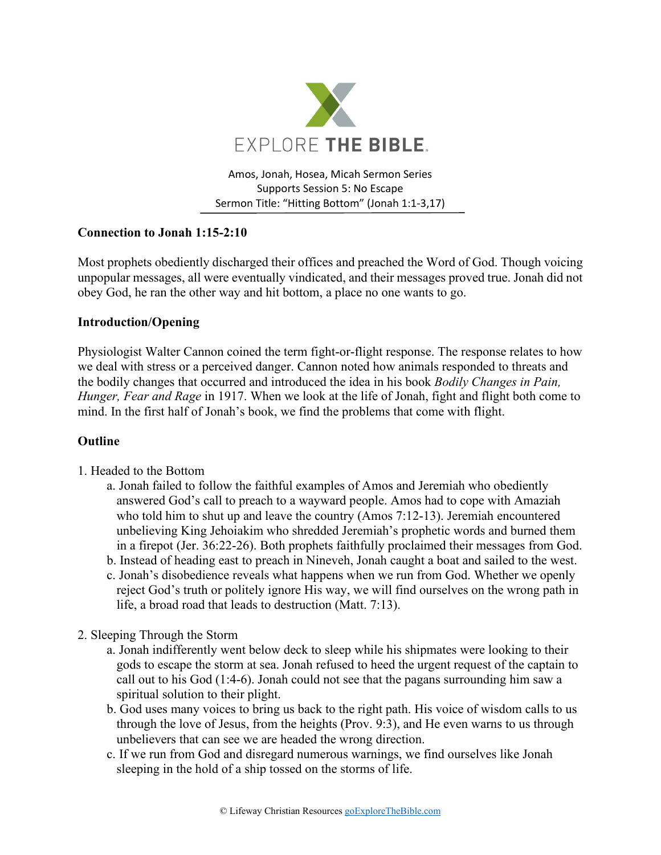

Amos, Jonah, Hosea, Micah Sermon Series Supports Session 5: No Escape Sermon Title: "Hitting Bottom" (Jonah 1:1-3,17)

# **Connection to Jonah 1:15-2:10**

Most prophets obediently discharged their offices and preached the Word of God. Though voicing unpopular messages, all were eventually vindicated, and their messages proved true. Jonah did not obey God, he ran the other way and hit bottom, a place no one wants to go.

## **Introduction/Opening**

Physiologist Walter Cannon coined the term fight-or-flight response. The response relates to how we deal with stress or a perceived danger. Cannon noted how animals responded to threats and the bodily changes that occurred and introduced the idea in his book *Bodily Changes in Pain, Hunger, Fear and Rage* in 1917. When we look at the life of Jonah, fight and flight both come to mind. In the first half of Jonah's book, we find the problems that come with flight.

## **Outline**

- 1. Headed to the Bottom
	- a. Jonah failed to follow the faithful examples of Amos and Jeremiah who obediently answered God's call to preach to a wayward people. Amos had to cope with Amaziah who told him to shut up and leave the country (Amos 7:12-13). Jeremiah encountered unbelieving King Jehoiakim who shredded Jeremiah's prophetic words and burned them in a firepot (Jer. 36:22-26). Both prophets faithfully proclaimed their messages from God.
	- b. Instead of heading east to preach in Nineveh, Jonah caught a boat and sailed to the west.
	- c. Jonah's disobedience reveals what happens when we run from God. Whether we openly reject God's truth or politely ignore His way, we will find ourselves on the wrong path in life, a broad road that leads to destruction (Matt. 7:13).
- 2. Sleeping Through the Storm
	- a. Jonah indifferently went below deck to sleep while his shipmates were looking to their gods to escape the storm at sea. Jonah refused to heed the urgent request of the captain to call out to his God (1:4-6). Jonah could not see that the pagans surrounding him saw a spiritual solution to their plight.
	- b. God uses many voices to bring us back to the right path. His voice of wisdom calls to us through the love of Jesus, from the heights (Prov. 9:3), and He even warns to us through unbelievers that can see we are headed the wrong direction.
	- c. If we run from God and disregard numerous warnings, we find ourselves like Jonah sleeping in the hold of a ship tossed on the storms of life.